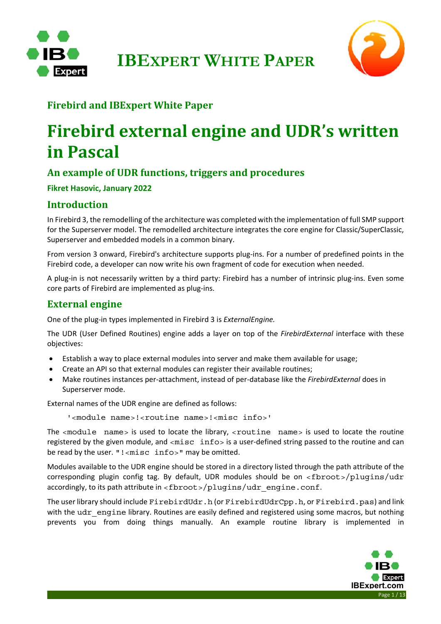



### **Firebird and IBExpert White Paper**

# **Firebird external engine and UDR's written in Pascal**

#### **An example of UDR functions, triggers and procedures**

**Fikret Hasovic, January 2022** 

#### **Introduction**

In Firebird 3, the remodelling of the architecture was completed with the implementation of full SMP support for the Superserver model. The remodelled architecture integrates the core engine for Classic/SuperClassic, Superserver and embedded models in a common binary.

From version 3 onward, Firebird's architecture supports plug‐ins. For a number of predefined points in the Firebird code, a developer can now write his own fragment of code for execution when needed.

A plug-in is not necessarily written by a third party: Firebird has a number of intrinsic plug-ins. Even some core parts of Firebird are implemented as plug‐ins.

#### **External engine**

One of the plug‐in types implemented in Firebird 3 is *ExternalEngine.* 

The UDR (User Defined Routines) engine adds a layer on top of the *FirebirdExternal* interface with these objectives:

- Establish a way to place external modules into server and make them available for usage;
- Create an API so that external modules can register their available routines;
- Make routines instances per‐attachment, instead of per‐database like the *FirebirdExternal* does in Superserver mode.

External names of the UDR engine are defined as follows:

'<module name>!<routine name>!<misc info>'

The <module name> is used to locate the library, <routine name> is used to locate the routine registered by the given module, and  $\langle \text{misc } \text{info} \rangle$  is a user-defined string passed to the routine and can be read by the user. "!<misc info>" may be omitted.

Modules available to the UDR engine should be stored in a directory listed through the path attribute of the corresponding plugin config tag. By default, UDR modules should be on <fbroot>/plugins/udr accordingly, to its path attribute in <fbroot>/plugins/udr\_engine.conf.

The user library should include FirebirdUdr.h (or FirebirdUdrCpp.h, or Firebird.pas) and link with the udr engine library. Routines are easily defined and registered using some macros, but nothing prevents you from doing things manually. An example routine library is implemented in

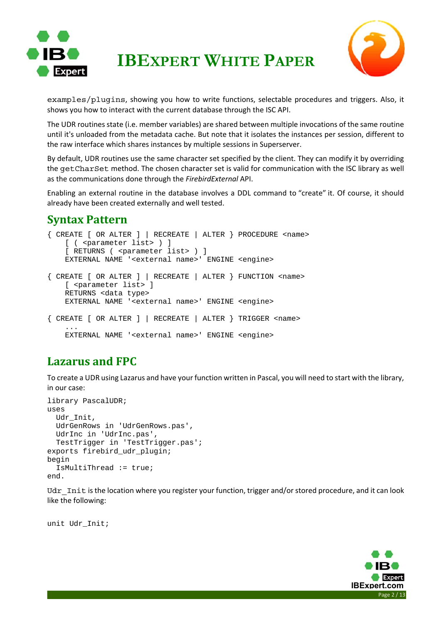



examples/plugins, showing you how to write functions, selectable procedures and triggers. Also, it shows you how to interact with the current database through the ISC API.

The UDR routines state (i.e. member variables) are shared between multiple invocations of the same routine until it's unloaded from the metadata cache. But note that it isolates the instances per session, different to the raw interface which shares instances by multiple sessions in Superserver.

By default, UDR routines use the same character set specified by the client. They can modify it by overriding the getCharSet method. The chosen character set is valid for communication with the ISC library as well as the communications done through the *FirebirdExternal* API.

Enabling an external routine in the database involves a DDL command to "create" it. Of course, it should already have been created externally and well tested.

### **Syntax Pattern**

```
{ CREATE [ OR ALTER ] | RECREATE | ALTER } PROCEDURE <name> 
    [ ( <parameter list> ) ]
    [ RETURNS ( <parameter list> ) ]
     EXTERNAL NAME '<external name>' ENGINE <engine> 
{ CREATE [ OR ALTER ] | RECREATE | ALTER } FUNCTION <name> 
     [ <parameter list> ] 
     RETURNS <data type> 
     EXTERNAL NAME '<external name>' ENGINE <engine> 
{ CREATE [ OR ALTER ] | RECREATE | ALTER } TRIGGER <name> 
     ... 
     EXTERNAL NAME '<external name>' ENGINE <engine>
```
### **Lazarus and FPC**

To create a UDR using Lazarus and have your function written in Pascal, you will need to start with the library, in our case:

```
library PascalUDR; 
uses 
   Udr_Init, 
   UdrGenRows in 'UdrGenRows.pas', 
   UdrInc in 'UdrInc.pas', 
   TestTrigger in 'TestTrigger.pas'; 
exports firebird udr plugin;
begin 
   IsMultiThread := true; 
end.
```
Udr Init is the location where you register your function, trigger and/or stored procedure, and it can look like the following:

unit Udr\_Init;

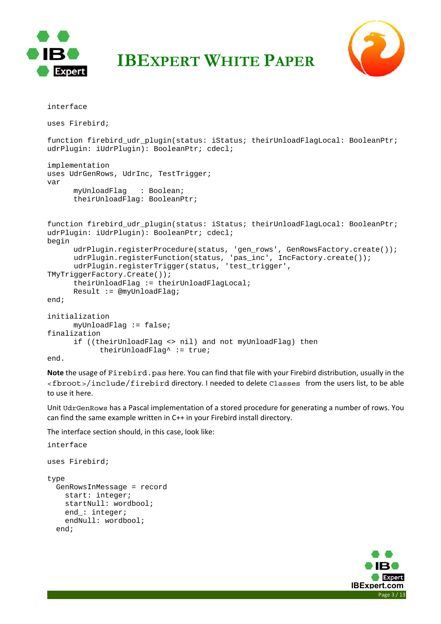



```
interface 
uses Firebird; 
function firebird_udr_plugin(status: iStatus; theirUnloadFlagLocal: BooleanPtr; 
udrPlugin: iUdrPlugin): BooleanPtr; cdecl; 
implementation 
uses UdrGenRows, UdrInc, TestTrigger;
var 
      myUnloadFlag : Boolean; 
       theirUnloadFlag: BooleanPtr; 
function firebird udr plugin(status: iStatus; theirUnloadFlagLocal: BooleanPtr;
udrPlugin: iUdrPlugin): BooleanPtr; cdecl; 
begin 
 udrPlugin.registerProcedure(status, 'gen_rows', GenRowsFactory.create()); 
 udrPlugin.registerFunction(status, 'pas_inc', IncFactory.create()); 
      udrPlugin.registerTrigger(status, 'test trigger',
TMyTriggerFactory.Create()); 
       theirUnloadFlag := theirUnloadFlagLocal; 
      Result := @myUnloadFlag; 
end; 
initialization 
      myUnloadFlag := false; 
finalization 
      if ((theirUnloadFlag <> nil) and not myUnloadFlag) then 
             theirUnloadFlag^ := true; 
end.
```
**Note** the usage of Firebird.pas here. You can find that file with your Firebird distribution, usually in the <fbroot>/include/firebird directory. I needed to delete Classes from the users list, to be able to use it here.

Unit UdrGenRows has a Pascal implementation of a stored procedure for generating a number of rows. You can find the same example written in C++ in your Firebird install directory.

The interface section should, in this case, look like:

```
interface 
uses Firebird; 
type 
   GenRowsInMessage = record 
     start: integer; 
     startNull: wordbool; 
     end_: integer; 
     endNull: wordbool; 
   end;
```
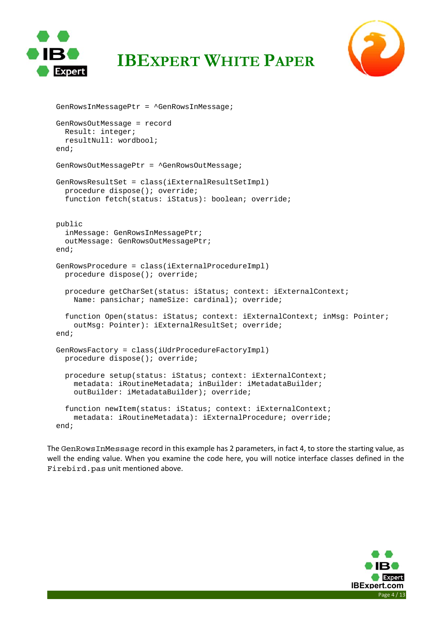



```
 GenRowsInMessagePtr = ^GenRowsInMessage; 
 GenRowsOutMessage = record 
   Result: integer; 
   resultNull: wordbool; 
 end; 
 GenRowsOutMessagePtr = ^GenRowsOutMessage; 
 GenRowsResultSet = class(iExternalResultSetImpl) 
   procedure dispose(); override; 
   function fetch(status: iStatus): boolean; override; 
 public 
   inMessage: GenRowsInMessagePtr; 
   outMessage: GenRowsOutMessagePtr; 
 end; 
 GenRowsProcedure = class(iExternalProcedureImpl) 
   procedure dispose(); override; 
   procedure getCharSet(status: iStatus; context: iExternalContext; 
     Name: pansichar; nameSize: cardinal); override; 
   function Open(status: iStatus; context: iExternalContext; inMsg: Pointer; 
     outMsg: Pointer): iExternalResultSet; override; 
 end; 
 GenRowsFactory = class(iUdrProcedureFactoryImpl) 
   procedure dispose(); override; 
   procedure setup(status: iStatus; context: iExternalContext; 
     metadata: iRoutineMetadata; inBuilder: iMetadataBuilder; 
     outBuilder: iMetadataBuilder); override; 
   function newItem(status: iStatus; context: iExternalContext; 
     metadata: iRoutineMetadata): iExternalProcedure; override; 
 end;
```
The GenRowsInMessage record in this example has 2 parameters, in fact 4, to store the starting value, as well the ending value. When you examine the code here, you will notice interface classes defined in the Firebird.pas unit mentioned above.

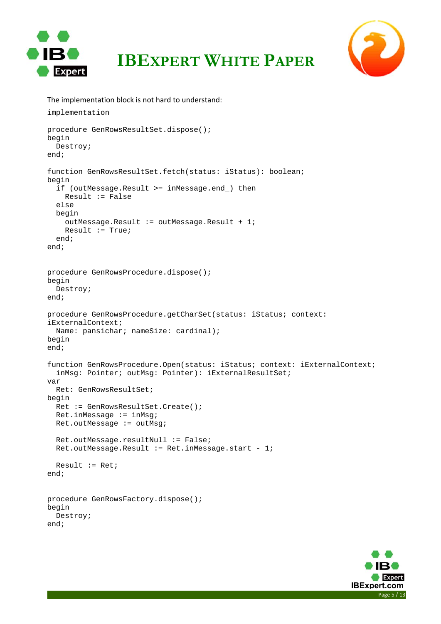



```
The implementation block is not hard to understand: 
implementation 
procedure GenRowsResultSet.dispose(); 
begin 
   Destroy; 
end; 
function GenRowsResultSet.fetch(status: iStatus): boolean; 
begin 
   if (outMessage.Result >= inMessage.end_) then 
     Result := False 
   else 
   begin 
     outMessage.Result := outMessage.Result + 1; 
     Result := True; 
   end; 
end; 
procedure GenRowsProcedure.dispose(); 
begin 
   Destroy; 
end; 
procedure GenRowsProcedure.getCharSet(status: iStatus; context: 
iExternalContext; 
   Name: pansichar; nameSize: cardinal); 
begin 
end; 
function GenRowsProcedure.Open(status: iStatus; context: iExternalContext; 
   inMsg: Pointer; outMsg: Pointer): iExternalResultSet; 
var 
   Ret: GenRowsResultSet; 
begin 
   Ret := GenRowsResultSet.Create(); 
  Ret.inMessage := inMsg; Ret.outMessage := outMsg; 
   Ret.outMessage.resultNull := False; 
  Ret.outMessage.Result := Ret.inMessage.start - 1;
  Result := Ret;
end; 
procedure GenRowsFactory.dispose(); 
begin 
   Destroy; 
end;
```
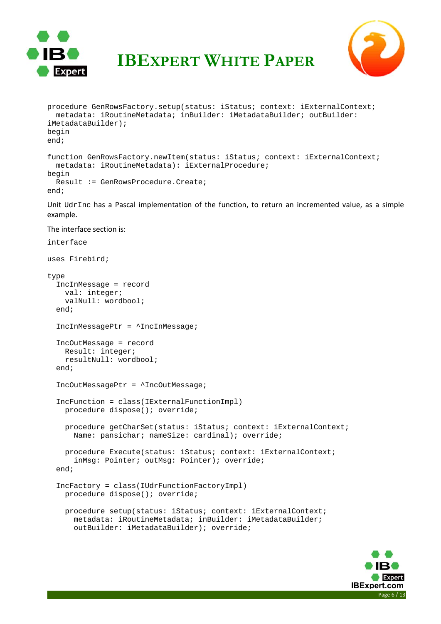



```
procedure GenRowsFactory.setup(status: iStatus; context: iExternalContext; 
   metadata: iRoutineMetadata; inBuilder: iMetadataBuilder; outBuilder: 
iMetadataBuilder); 
begin 
end; 
function GenRowsFactory.newItem(status: iStatus; context: iExternalContext; 
   metadata: iRoutineMetadata): iExternalProcedure; 
begin 
  Result := GenRowsProcedure.Create; 
end;
```
Unit  $Udx$ Inc has a Pascal implementation of the function, to return an incremented value, as a simple example.

The interface section is:

```
interface
```
uses Firebird;

```
type 
   IncInMessage = record 
    val: integer; 
    valNull: wordbool; 
   end; 
   IncInMessagePtr = ^IncInMessage; 
   IncOutMessage = record 
    Result: integer; 
    resultNull: wordbool; 
   end; 
   IncOutMessagePtr = ^IncOutMessage; 
   IncFunction = class(IExternalFunctionImpl) 
    procedure dispose(); override; 
     procedure getCharSet(status: iStatus; context: iExternalContext; 
       Name: pansichar; nameSize: cardinal); override; 
     procedure Execute(status: iStatus; context: iExternalContext; 
       inMsg: Pointer; outMsg: Pointer); override; 
   end; 
   IncFactory = class(IUdrFunctionFactoryImpl) 
     procedure dispose(); override; 
     procedure setup(status: iStatus; context: iExternalContext; 
       metadata: iRoutineMetadata; inBuilder: iMetadataBuilder; 
       outBuilder: iMetadataBuilder); override;
```
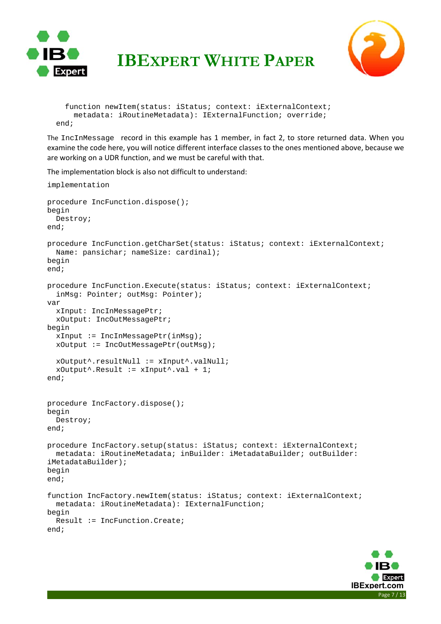



```
 function newItem(status: iStatus; context: iExternalContext; 
     metadata: iRoutineMetadata): IExternalFunction; override; 
 end;
```
The IncInMessage record in this example has 1 member, in fact 2, to store returned data. When you examine the code here, you will notice different interface classes to the ones mentioned above, because we are working on a UDR function, and we must be careful with that.

The implementation block is also not difficult to understand:

```
implementation 
procedure IncFunction.dispose(); 
begin 
   Destroy; 
end; 
procedure IncFunction.getCharSet(status: iStatus; context: iExternalContext; 
  Name: pansichar; nameSize: cardinal);
begin 
end; 
procedure IncFunction.Execute(status: iStatus; context: iExternalContext; 
   inMsg: Pointer; outMsg: Pointer); 
var 
   xInput: IncInMessagePtr; 
   xOutput: IncOutMessagePtr; 
begin 
  xInput := IncInMessagePtr(inMsg); xOutput := IncOutMessagePtr(outMsg); 
   xOutput^.resultNull := xInput^.valNull; 
  xOutput^*.Result := xInput^*.val + 1;end; 
procedure IncFactory.dispose(); 
begin 
   Destroy; 
end; 
procedure IncFactory.setup(status: iStatus; context: iExternalContext; 
   metadata: iRoutineMetadata; inBuilder: iMetadataBuilder; outBuilder: 
iMetadataBuilder); 
begin 
end; 
function IncFactory.newItem(status: iStatus; context: iExternalContext; 
   metadata: iRoutineMetadata): IExternalFunction; 
begin 
   Result := IncFunction.Create; 
end;
```
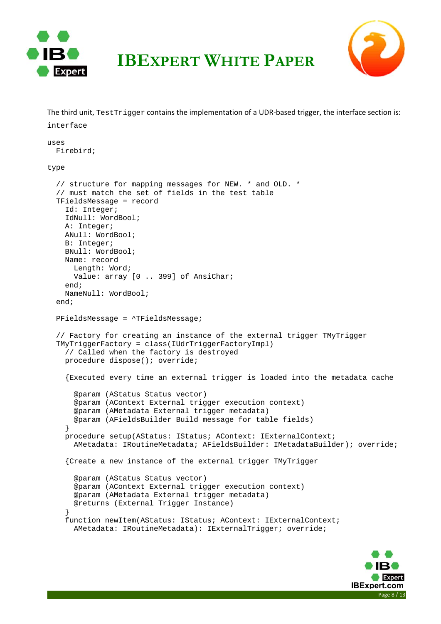

The third unit, Test Trigger contains the implementation of a UDR-based trigger, the interface section is:



interface uses Firebird; type // structure for mapping messages for NEW. \* and OLD. \* // must match the set of fields in the test table TFieldsMessage = record Id: Integer; IdNull: WordBool; A: Integer; ANull: WordBool; B: Integer; BNull: WordBool; Name: record Length: Word; Value: array [0 .. 399] of AnsiChar; end; NameNull: WordBool; end; PFieldsMessage = ^TFieldsMessage; // Factory for creating an instance of the external trigger TMyTrigger TMyTriggerFactory = class(IUdrTriggerFactoryImpl) // Called when the factory is destroyed procedure dispose(); override; {Executed every time an external trigger is loaded into the metadata cache @param (AStatus Status vector) @param (AContext External trigger execution context) @param (AMetadata External trigger metadata) @param (AFieldsBuilder Build message for table fields) } procedure setup(AStatus: IStatus; AContext: IExternalContext; AMetadata: IRoutineMetadata; AFieldsBuilder: IMetadataBuilder); override; {Create a new instance of the external trigger TMyTrigger @param (AStatus Status vector) @param (AContext External trigger execution context) @param (AMetadata External trigger metadata) @returns (External Trigger Instance) } function newItem(AStatus: IStatus; AContext: IExternalContext; AMetadata: IRoutineMetadata): IExternalTrigger; override;

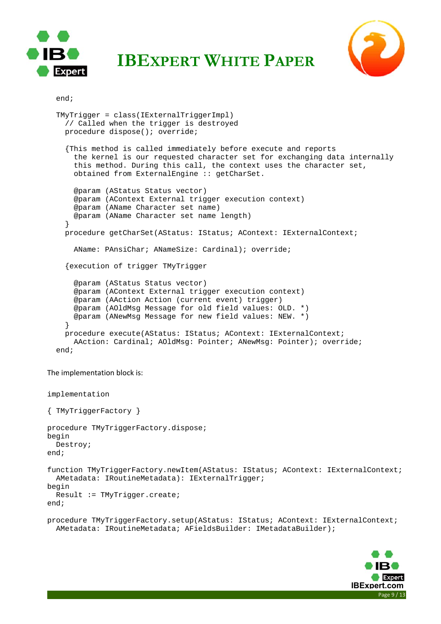



```
 end;
```

```
 TMyTrigger = class(IExternalTriggerImpl) 
   // Called when the trigger is destroyed 
   procedure dispose(); override; 
   {This method is called immediately before execute and reports 
     the kernel is our requested character set for exchanging data internally 
     this method. During this call, the context uses the character set, 
     obtained from ExternalEngine :: getCharSet. 
     @param (AStatus Status vector) 
     @param (AContext External trigger execution context) 
     @param (AName Character set name) 
     @param (AName Character set name length) 
   } 
   procedure getCharSet(AStatus: IStatus; AContext: IExternalContext; 
     AName: PAnsiChar; ANameSize: Cardinal); override; 
   {execution of trigger TMyTrigger 
     @param (AStatus Status vector) 
     @param (AContext External trigger execution context) 
     @param (AAction Action (current event) trigger) 
     @param (AOldMsg Message for old field values: OLD. *) 
     @param (ANewMsg Message for new field values: NEW. *) 
   } 
   procedure execute(AStatus: IStatus; AContext: IExternalContext; 
     AAction: Cardinal; AOldMsg: Pointer; ANewMsg: Pointer); override; 
 end;
```
The implementation block is:

```
implementation 
{ TMyTriggerFactory } 
procedure TMyTriggerFactory.dispose; 
begin 
   Destroy; 
end; 
function TMyTriggerFactory.newItem(AStatus: IStatus; AContext: IExternalContext; 
   AMetadata: IRoutineMetadata): IExternalTrigger; 
begin 
   Result := TMyTrigger.create; 
end; 
procedure TMyTriggerFactory.setup(AStatus: IStatus; AContext: IExternalContext; 
   AMetadata: IRoutineMetadata; AFieldsBuilder: IMetadataBuilder);
```
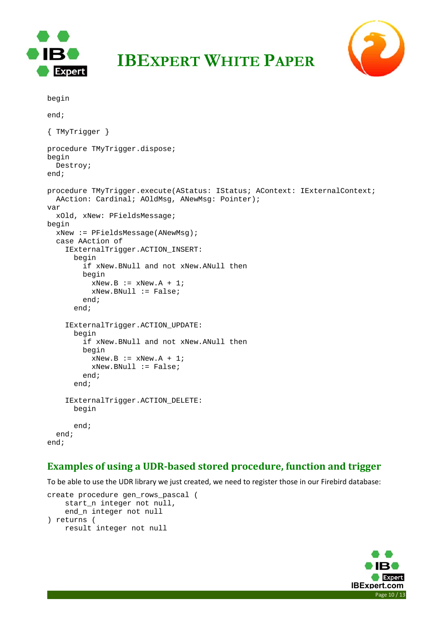



```
IBEXPERT WHITE PAPER
```

```
begin
```

```
end; 
{ TMyTrigger } 
procedure TMyTrigger.dispose; 
begin 
  Destroy; 
end; 
procedure TMyTrigger.execute(AStatus: IStatus; AContext: IExternalContext; 
   AAction: Cardinal; AOldMsg, ANewMsg: Pointer); 
var 
   xOld, xNew: PFieldsMessage; 
begin 
   xNew := PFieldsMessage(ANewMsg); 
   case AAction of 
     IExternalTrigger.ACTION_INSERT: 
       begin 
          if xNew.BNull and not xNew.ANull then 
         begin 
           xNew.B := xNew.A + 1; xNew.BNull := False; 
          end; 
       end; 
     IExternalTrigger.ACTION_UPDATE: 
       begin 
          if xNew.BNull and not xNew.ANull then 
          begin 
           xNew.B := xNew.A + 1; xNew.BNull := False; 
          end; 
       end; 
     IExternalTrigger.ACTION_DELETE: 
       begin 
       end; 
   end; 
end;
```
#### **Examples of using a UDR‐based stored procedure, function and trigger**

To be able to use the UDR library we just created, we need to register those in our Firebird database:

```
create procedure gen_rows_pascal ( 
     start_n integer not null, 
     end_n integer not null 
) returns ( 
    result integer not null
```
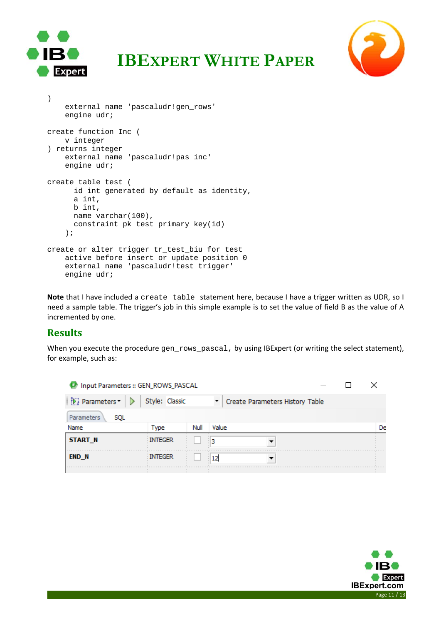



```
) 
     external name 'pascaludr!gen_rows' 
     engine udr; 
create function Inc ( 
    v integer 
) returns integer 
     external name 'pascaludr!pas_inc' 
     engine udr; 
create table test ( 
      id int generated by default as identity, 
       a int, 
       b int, 
       name varchar(100), 
       constraint pk_test primary key(id) 
     ); 
create or alter trigger tr_test_biu for test 
     active before insert or update position 0 
    external name 'pascaludr!test_trigger'
     engine udr;
```
**Note** that I have included a create table statement here, because I have a trigger written as UDR, so I need a sample table. The trigger's job in this simple example is to set the value of field B as the value of A incremented by one.

#### **Results**

When you execute the procedure gen\_rows\_pascal, by using IBExpert (or writing the select statement), for example, such as:

| Input Parameters :: GEN_ROWS_PASCAL |                |          |       |                                 |  |  |  |    |
|-------------------------------------|----------------|----------|-------|---------------------------------|--|--|--|----|
| Parameters<br>D                     | Style: Classic | <b>T</b> |       | Create Parameters History Table |  |  |  |    |
| <b>Parameters</b><br><b>SQL</b>     |                |          |       |                                 |  |  |  |    |
| Name                                | Type           | Null     | Value |                                 |  |  |  | De |
| <b>START N</b>                      | <b>INTEGER</b> | 3        |       |                                 |  |  |  |    |
| <b>END N</b>                        | <b>INTEGER</b> |          |       |                                 |  |  |  |    |
|                                     |                |          |       |                                 |  |  |  |    |

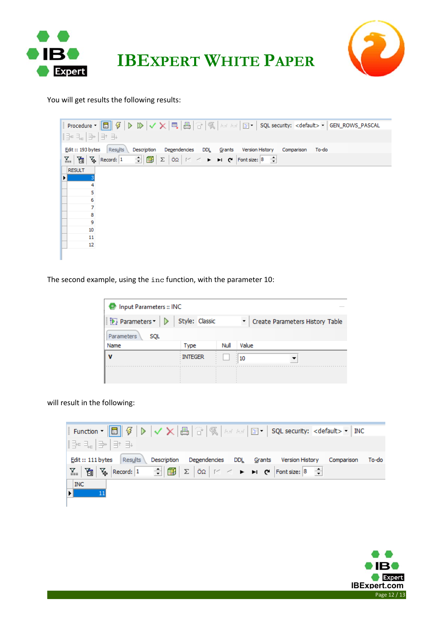



You will get results the following results:

| Edit:: 193 bytes Results<br>Dependencies DDL<br>Description<br>Grants Version History<br>To-do<br>Comparison                                                                                                                                      |
|---------------------------------------------------------------------------------------------------------------------------------------------------------------------------------------------------------------------------------------------------|
| $\Sigma$ $\Big \Big[\widetilde{G}\Big]\Big \Big[\widetilde{V}_{\Phi}\Big]$ Record: $1 - \frac{1}{\pi}\Big \Big \widehat{G\mathbb{B}}\Big  \Big \Sigma\Big $ O.Q $\Big \leq 1 + \frac{1}{\pi}\Big \Theta\Big $ Font size: $8 - \frac{1}{\pi}\Big $ |
| <b>RESULT</b>                                                                                                                                                                                                                                     |
|                                                                                                                                                                                                                                                   |
|                                                                                                                                                                                                                                                   |
| 6                                                                                                                                                                                                                                                 |
| 8                                                                                                                                                                                                                                                 |
| 9<br>10                                                                                                                                                                                                                                           |
| 11                                                                                                                                                                                                                                                |
| 12                                                                                                                                                                                                                                                |
|                                                                                                                                                                                                                                                   |

The second example, using the inc function, with the parameter 10:

| Input Parameters :: INC<br><b>O</b> |                |      |                                 |
|-------------------------------------|----------------|------|---------------------------------|
| D. Parameters<br>▷                  | Style: Classic |      | Create Parameters History Table |
| Parameters<br><b>SQL</b>            |                |      |                                 |
| Name                                | Type           | Null | Value                           |
|                                     | <b>INTEGER</b> |      | 10<br>$\ddot{\phantom{a}}$      |
|                                     |                |      |                                 |

will result in the following: